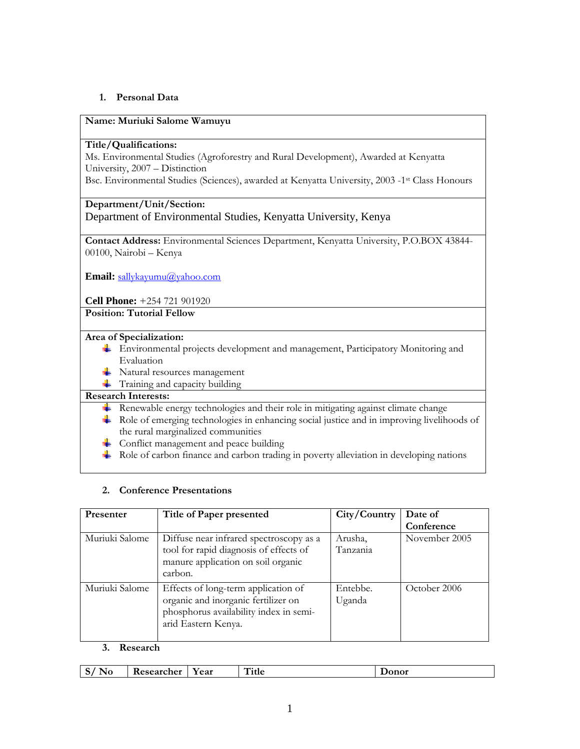## **1. Personal Data**

### **Name: Muriuki Salome Wamuyu**

### **Title/Qualifications:**

Ms. Environmental Studies (Agroforestry and Rural Development), Awarded at Kenyatta University, 2007 – Distinction

Bsc. Environmental Studies (Sciences), awarded at Kenyatta University, 2003 -1<sup>st</sup> Class Honours

## **Department/Unit/Section:**

Department of Environmental Studies, Kenyatta University, Kenya

**Contact Address:** Environmental Sciences Department, Kenyatta University, P.O.BOX 43844- 00100, Nairobi – Kenya

**Email:** sallykayumu@yahoo.com

**Cell Phone:** +254 721 901920

**Position: Tutorial Fellow** 

#### **Area of Specialization:**

- Environmental projects development and management, Participatory Monitoring and Evaluation
- **Watural resources management**
- **Training and capacity building**

### **Research Interests:**

- $\overline{\text{L}}$  Renewable energy technologies and their role in mitigating against climate change
- Role of emerging technologies in enhancing social justice and in improving livelihoods of the rural marginalized communities
- $\overline{\phantom{a}}$  Conflict management and peace building
- $\perp$  Role of carbon finance and carbon trading in poverty alleviation in developing nations

### **2. Conference Presentations**

| Presenter      | Title of Paper presented                                                                                                                    | City/Country        | Date of       |
|----------------|---------------------------------------------------------------------------------------------------------------------------------------------|---------------------|---------------|
|                |                                                                                                                                             |                     | Conference    |
| Muriuki Salome | Diffuse near infrared spectroscopy as a<br>tool for rapid diagnosis of effects of<br>manure application on soil organic<br>carbon.          | Arusha,<br>Tanzania | November 2005 |
| Muriuki Salome | Effects of long-term application of<br>organic and inorganic fertilizer on<br>phosphorus availability index in semi-<br>arid Eastern Kenya. | Entebbe.<br>Uganda  | October 2006  |

#### **3. Research**

| $\sim$<br>:searcher<br><b>Year</b><br>$\sim$<br><br>ັ<br>1 J J | <b></b><br>Title | $\overline{\phantom{0}}$<br>vw<br>____ |
|----------------------------------------------------------------|------------------|----------------------------------------|
|----------------------------------------------------------------|------------------|----------------------------------------|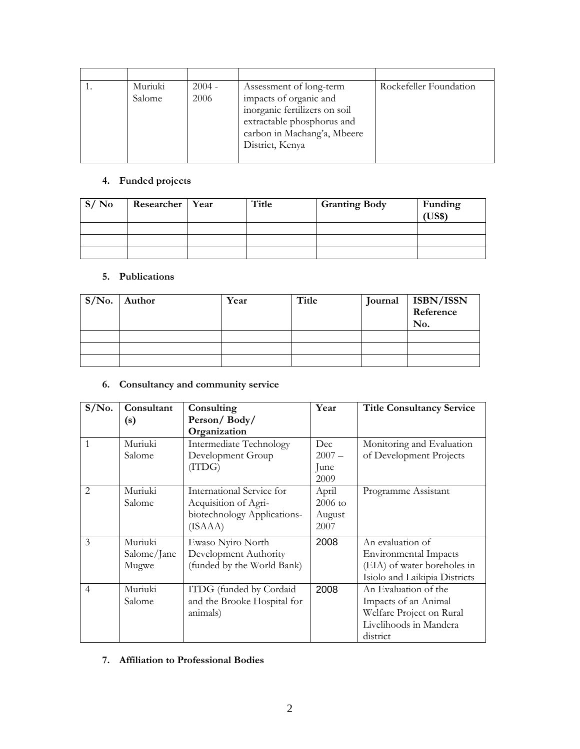| Muriuki<br>Salome | $2004 -$<br>2006 | Assessment of long-term<br>impacts of organic and<br>inorganic fertilizers on soil<br>extractable phosphorus and<br>carbon in Machang'a, Mbeere<br>District, Kenya | Rockefeller Foundation |
|-------------------|------------------|--------------------------------------------------------------------------------------------------------------------------------------------------------------------|------------------------|

# **4. Funded projects**

| S/N <sub>0</sub> | Researcher   Year | Title | <b>Granting Body</b> | Funding<br>US\$) |
|------------------|-------------------|-------|----------------------|------------------|
|                  |                   |       |                      |                  |
|                  |                   |       |                      |                  |
|                  |                   |       |                      |                  |

## **5. Publications**

| $S/N0$ . Author | Year | Title | Journal ISBN/ISSN<br>Reference<br>No. |
|-----------------|------|-------|---------------------------------------|
|                 |      |       |                                       |
|                 |      |       |                                       |
|                 |      |       |                                       |

# **6. Consultancy and community service**

| $S/N0$ .                      | Consultant  | Consulting                  | Year      | <b>Title Consultancy Service</b> |
|-------------------------------|-------------|-----------------------------|-----------|----------------------------------|
|                               | (s)         | Person/Body/                |           |                                  |
|                               |             | Organization                |           |                                  |
| $\mathbf{1}$                  | Muriuki     | Intermediate Technology     | Dec       | Monitoring and Evaluation        |
|                               | Salome      | Development Group           | $2007 -$  | of Development Projects          |
|                               |             | $(T\text{IDG})$             | June      |                                  |
|                               |             |                             | 2009      |                                  |
| $\mathfrak{D}_{\mathfrak{p}}$ | Muriuki     | International Service for   | April     | Programme Assistant              |
|                               | Salome      | Acquisition of Agri-        | $2006$ to |                                  |
|                               |             | biotechnology Applications- | August    |                                  |
|                               |             | (ISAAA)                     | 2007      |                                  |
| 3                             | Muriuki     | Ewaso Nyiro North           | 2008      | An evaluation of                 |
|                               | Salome/Jane | Development Authority       |           | <b>Environmental Impacts</b>     |
|                               | Mugwe       | (funded by the World Bank)  |           | (EIA) of water boreholes in      |
|                               |             |                             |           | Isiolo and Laikipia Districts    |
| $\overline{4}$                | Muriuki     | ITDG (funded by Cordaid     | 2008      | An Evaluation of the             |
|                               | Salome      | and the Brooke Hospital for |           | Impacts of an Animal             |
|                               |             | animals)                    |           | Welfare Project on Rural         |
|                               |             |                             |           | Livelihoods in Mandera           |
|                               |             |                             |           | district                         |

## **7. Affiliation to Professional Bodies**